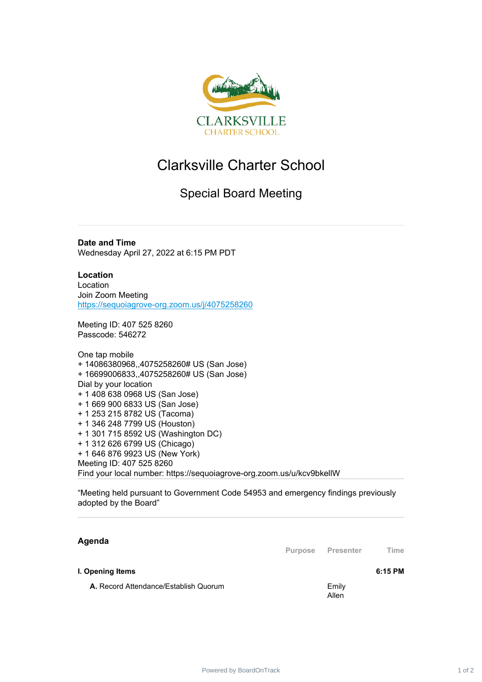

## Clarksville Charter School

## Special Board Meeting

**Date and Time** Wednesday April 27, 2022 at 6:15 PM PDT

**Location** Location Join Zoom Meeting <https://sequoiagrove-org.zoom.us/j/4075258260>

Meeting ID: 407 525 8260 Passcode: 546272

One tap mobile + 14086380968,,4075258260# US (San Jose) + 16699006833,,4075258260# US (San Jose) Dial by your location + 1 408 638 0968 US (San Jose) + 1 669 900 6833 US (San Jose) + 1 253 215 8782 US (Tacoma) + 1 346 248 7799 US (Houston) + 1 301 715 8592 US (Washington DC) + 1 312 626 6799 US (Chicago) + 1 646 876 9923 US (New York) Meeting ID: 407 525 8260 Find your local number: https://sequoiagrove-org.zoom.us/u/kcv9bkellW

"Meeting held pursuant to Government Code 54953 and emergency findings previously adopted by the Board"

| Agenda |  |
|--------|--|
|        |  |

**Purpose Presenter Time**

**I. Opening Items 6:15 PM**

**A.** Record Attendance/Establish Quorum **Emily** Emily

Allen